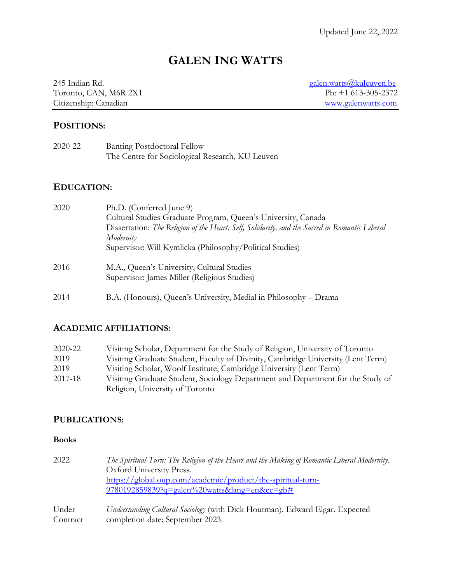# **GALEN ING WATTS**

Toronto, CAN, M6R 2X1<br>Citizenship: Canadian

245 Indian Rd. galen.watts@kuleuven.be<br>
Toronto, CAN, M6R 2X1 Ph: +1 613-305-2372 www.galenwatts.com

## **POSITIONS:**

| 2020-22 | <b>Banting Postdoctoral Fellow</b>              |
|---------|-------------------------------------------------|
|         | The Centre for Sociological Research, KU Leuven |

#### **EDUCATION:**

| 2020 | Ph.D. (Conferred June 9)                                                                      |
|------|-----------------------------------------------------------------------------------------------|
|      | Cultural Studies Graduate Program, Queen's University, Canada                                 |
|      | Dissertation: The Religion of the Heart: Self, Solidarity, and the Sacred in Romantic Liberal |
|      | Modernity                                                                                     |
|      | Supervisor: Will Kymlicka (Philosophy/Political Studies)                                      |
| 2016 | M.A., Queen's University, Cultural Studies<br>Supervisor: James Miller (Religious Studies)    |
|      |                                                                                               |
| 2014 | B.A. (Honours), Queen's University, Medial in Philosophy – Drama                              |

## **ACADEMIC AFFILIATIONS:**

| 2020-22 | Visiting Scholar, Department for the Study of Religion, University of Toronto    |
|---------|----------------------------------------------------------------------------------|
| 2019    | Visiting Graduate Student, Faculty of Divinity, Cambridge University (Lent Term) |
| 2019    | Visiting Scholar, Woolf Institute, Cambridge University (Lent Term)              |
| 2017-18 | Visiting Graduate Student, Sociology Department and Department for the Study of  |
|         | Religion, University of Toronto                                                  |

## **PUBLICATIONS:**

#### **Books**

| 2022              | The Spiritual Turn: The Religion of the Heart and the Making of Romantic Liberal Modernity.<br>Oxford University Press.<br>https://global.oup.com/academic/product/the-spiritual-turn- |
|-------------------|----------------------------------------------------------------------------------------------------------------------------------------------------------------------------------------|
|                   | 9780192859839?q=galen%20watts⟨=en&cc=gb#                                                                                                                                               |
| Under<br>Contract | Understanding Cultural Sociology (with Dick Houtman). Edward Elgar. Expected<br>completion date: September 2023.                                                                       |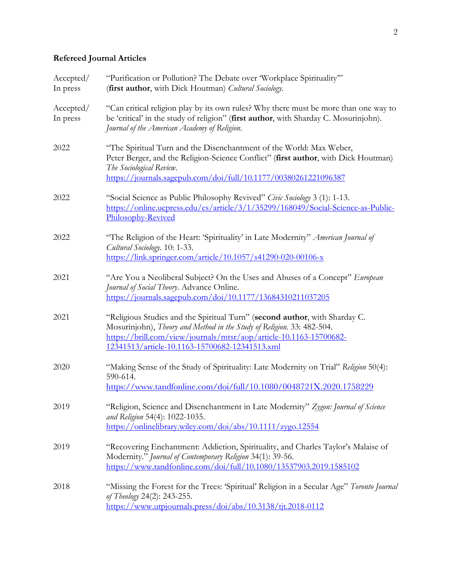## **Refereed Journal Articles**

| Accepted/<br>In press | "Purification or Pollution? The Debate over 'Workplace Spirituality"<br>(first author, with Dick Houtman) Cultural Sociology.                                                                                                                                                         |
|-----------------------|---------------------------------------------------------------------------------------------------------------------------------------------------------------------------------------------------------------------------------------------------------------------------------------|
| Accepted/<br>In press | "Can critical religion play by its own rules? Why there must be more than one way to<br>be 'critical' in the study of religion" (first author, with Sharday C. Mosurinjohn).<br>Journal of the American Academy of Religion.                                                          |
| 2022                  | "The Spiritual Turn and the Disenchantment of the World: Max Weber,<br>Peter Berger, and the Religion-Science Conflict" (first author, with Dick Houtman)<br>The Sociological Review.<br>https://journals.sagepub.com/doi/full/10.1177/00380261221096387                              |
| 2022                  | "Social Science as Public Philosophy Revived" Civic Sociology 3 (1): 1-13.<br>https://online.ucpress.edu/cs/article/3/1/35299/168049/Social-Science-as-Public-<br>Philosophy-Revived                                                                                                  |
| 2022                  | "The Religion of the Heart: 'Spirituality' in Late Modernity" American Journal of<br>Cultural Sociology. 10: 1-33.<br>https://link.springer.com/article/10.1057/s41290-020-00106-x                                                                                                    |
| 2021                  | "Are You a Neoliberal Subject? On the Uses and Abuses of a Concept" European<br>Journal of Social Theory. Advance Online.<br>https://journals.sagepub.com/doi/10.1177/13684310211037205                                                                                               |
| 2021                  | "Religious Studies and the Spiritual Turn" (second author, with Sharday C.<br>Mosurinjohn), Theory and Method in the Study of Religion. 33: 482-504.<br>https://brill.com/view/journals/mtsr/aop/article-10.1163-15700682-<br>12341513/article-10.1163-15700682-12341513.xml          |
| 2020                  | "Making Sense of the Study of Spirituality: Late Modernity on Trial" Religion 50(4):<br>590-614.<br>https://www.tandfonline.com/doi/full/10.1080/0048721X.2020.1758229                                                                                                                |
| 2019                  | "Religion, Science and Disenchantment in Late Modernity" Zygon: Journal of Science<br>and Religion 54(4): 1022-1035.<br>https://onlinelibrary.wiley.com/doi/abs/10.1111/zygo.12554                                                                                                    |
| 2019                  | "Recovering Enchantment: Addiction, Spirituality, and Charles Taylor's Malaise of<br>Modernity." Journal of Contemporary Religion 34(1): 39-56.<br>https://www.tandfonline.com/doi/full/10.1080/13537903.2019.1585102                                                                 |
| 2018                  | "Missing the Forest for the Trees: 'Spiritual' Religion in a Secular Age" Toronto Journal<br>of Theology 24(2): 243-255.<br>$\frac{\text{https://www.utpjournals.press/doi/abs/10.3138/ti} \cdot 2018-0112}{\text{https://www.utpjournals.press/doi/abs/10.3138/ti} \cdot 2018-0112}$ |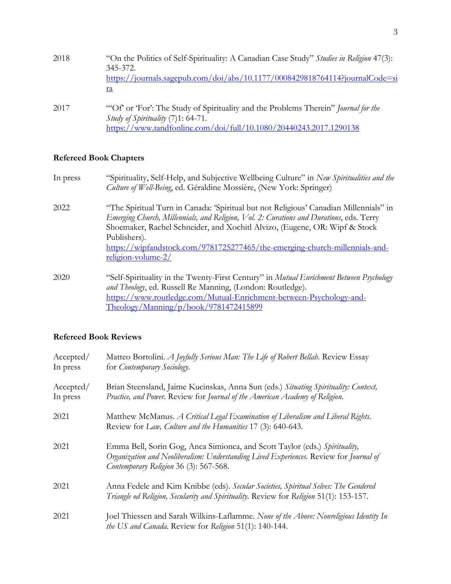| 2018 | "On the Politics of Self-Spirituality: A Canadian Case Study" Studies in Religion 47(3):<br>$345 - 372$<br>https://journals.sagepub.com/doi/abs/10.1177/0008429818764114?journalCode=si<br>ra |
|------|-----------------------------------------------------------------------------------------------------------------------------------------------------------------------------------------------|
| 2017 | "Of or 'For': The Study of Spirituality and the Problems Therein" Journal for the<br>Study of Spirituality (7)1: 64-71.<br>https://www.tandfonline.com/doi/full/10.1080/20440243.2017.1290138 |

## **Refereed Book Chapters**

| In press | "Spirituality, Self-Help, and Subjective Wellbeing Culture" in New Spiritualities and the<br>Culture of Well-Being, ed. Géraldine Mossière, (New York: Springer)                                                                                                                                                                                               |
|----------|----------------------------------------------------------------------------------------------------------------------------------------------------------------------------------------------------------------------------------------------------------------------------------------------------------------------------------------------------------------|
| 2022     | "The Spiritual Turn in Canada: 'Spiritual but not Religious' Canadian Millennials'' in<br>Emerging Church, Millennials, and Religion, Vol. 2: Curations and Durations, eds. Terry<br>Shoemaker, Rachel Schneider, and Xochitl Alvizo, (Eugene, OR: Wipf & Stock<br>Publishers).<br>https://wipfandstock.com/9781725277465/the-emerging-church-millennials-and- |
| 2020     | <u>religion-volume-2/</u><br>"Self-Spirituality in the Twenty-First Century" in <i>Mutual Enrichment Between Psychology</i><br>and Theology, ed. Russell Re Manning, (London: Routledge).                                                                                                                                                                      |
|          | https://www.routledge.com/Mutual-Enrichment-between-Psychology-and-<br>Theology/Manning/p/book/9781472415899                                                                                                                                                                                                                                                   |

## **Refereed Book Reviews**

| Accepted/<br>In press | Matteo Bortolini. A Joyfully Serious Man: The Life of Robert Bellah. Review Essay<br>for Contemporary Sociology.                                                                                               |
|-----------------------|----------------------------------------------------------------------------------------------------------------------------------------------------------------------------------------------------------------|
| Accepted/<br>In press | Brian Steensland, Jaime Kucinskas, Anna Sun (eds.) Situating Spirituality: Context,<br>Practice, and Power. Review for Journal of the American Academy of Religion.                                            |
| 2021                  | Matthew McManus. A Critical Legal Examination of Liberalism and Liberal Rights.<br>Review for Law, Culture and the Humanities 17 (3): 640-643.                                                                 |
| 2021                  | Emma Bell, Sorin Gog, Anca Simionca, and Scott Taylor (eds.) Spirituality,<br>Organization and Neoliberalism: Understanding Lived Experiences. Review for Journal of<br>Contemporary Religion 36 (3): 567-568. |
| 2021                  | Anna Fedele and Kim Knibbe (eds). Secular Societies, Spiritual Selves: The Gendered<br>Triangle od Religion, Secularity and Spirituality. Review for Religion 51(1): 153-157.                                  |
| 2021                  | Joel Thiessen and Sarah Wilkins-Laflamme. None of the Above: Nonreligious Identity In<br>the US and Canada. Review for Religion 51(1): 140-144.                                                                |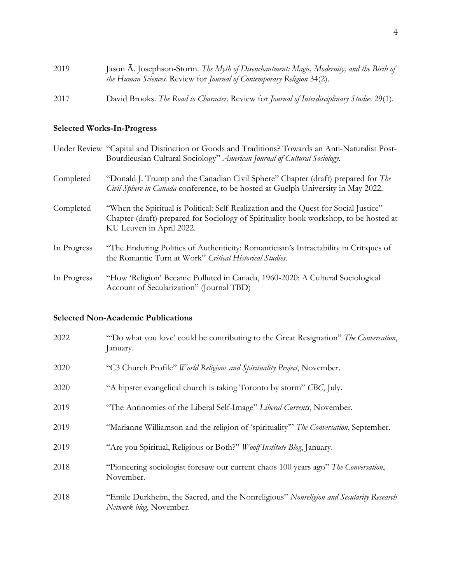| 2019 | Jason A. Josephson-Storm. The Myth of Disenchantment: Magic, Modernity, and the Birth of<br>the Human Sciences. Review for Journal of Contemporary Religion 34(2). |
|------|--------------------------------------------------------------------------------------------------------------------------------------------------------------------|
| 2017 | David Brooks. The Road to Character. Review for Journal of Interdisciplinary Studies 29(1).                                                                        |

## **Selected Works-In-Progress**

|             | Under Review "Capital and Distinction or Goods and Traditions? Towards an Anti-Naturalist Post-<br>Bourdieusian Cultural Sociology" American Journal of Cultural Sociology.                               |
|-------------|-----------------------------------------------------------------------------------------------------------------------------------------------------------------------------------------------------------|
| Completed   | "Donald J. Trump and the Canadian Civil Sphere" Chapter (draft) prepared for The<br>Civil Sphere in Canada conference, to be hosted at Guelph University in May 2022.                                     |
| Completed   | "When the Spiritual is Political: Self-Realization and the Quest for Social Justice"<br>Chapter (draft) prepared for Sociology of Spirituality book workshop, to be hosted at<br>KU Leuven in April 2022. |
| In Progress | "The Enduring Politics of Authenticity: Romanticism's Intractability in Critiques of<br>the Romantic Turn at Work" Critical Historical Studies.                                                           |
| In Progress | "How 'Religion' Became Polluted in Canada, 1960-2020: A Cultural Sociological<br>Account of Secularization" (Journal TBD)                                                                                 |

## **Selected Non-Academic Publications**

| 2022 | "Do what you love' could be contributing to the Great Resignation" The Conversation,<br>January.                  |
|------|-------------------------------------------------------------------------------------------------------------------|
| 2020 | "C3 Church Profile" World Religions and Spirituality Project, November.                                           |
| 2020 | "A hipster evangelical church is taking Toronto by storm" CBC, July.                                              |
| 2019 | "The Antinomies of the Liberal Self-Image" Liberal Currents, November.                                            |
| 2019 | "Marianne Williamson and the religion of 'spirituality" The Conversation, September.                              |
| 2019 | "Are you Spiritual, Religious or Both?" Woolf Institute Blog, January.                                            |
| 2018 | "Pioneering sociologist foresaw our current chaos 100 years ago" The Conversation,<br>November.                   |
| 2018 | "Emile Durkheim, the Sacred, and the Nonreligious" Nonreligion and Secularity Research<br>Network blog, November. |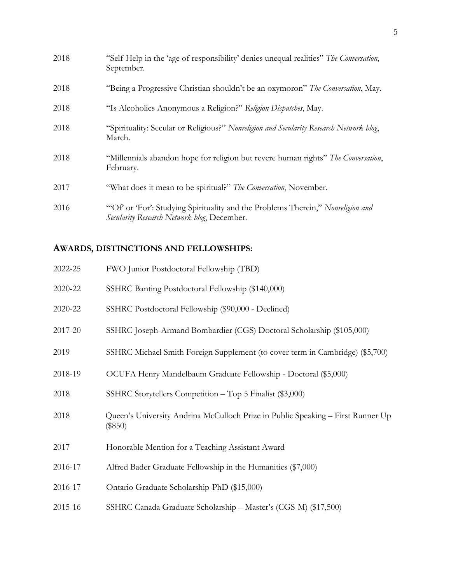| 2018 | "Self-Help in the 'age of responsibility' denies unequal realities" The Conversation,<br>September.                           |
|------|-------------------------------------------------------------------------------------------------------------------------------|
| 2018 | "Being a Progressive Christian shouldn't be an oxymoron" The Conversation, May.                                               |
| 2018 | "Is Alcoholics Anonymous a Religion?" Religion Dispatches, May.                                                               |
| 2018 | "Spirituality: Secular or Religious?" Nonreligion and Secularity Research Network blog,<br>March.                             |
| 2018 | "Millennials abandon hope for religion but revere human rights" The Conversation,<br>February.                                |
| 2017 | "What does it mean to be spiritual?" The Conversation, November.                                                              |
| 2016 | "Of or 'For': Studying Spirituality and the Problems Therein," Nonreligion and<br>Secularity Research Network blog, December. |

## **AWARDS, DISTINCTIONS AND FELLOWSHIPS:**

| 2022-25 | FWO Junior Postdoctoral Fellowship (TBD)                                                     |
|---------|----------------------------------------------------------------------------------------------|
| 2020-22 | SSHRC Banting Postdoctoral Fellowship (\$140,000)                                            |
| 2020-22 | SSHRC Postdoctoral Fellowship (\$90,000 - Declined)                                          |
| 2017-20 | SSHRC Joseph-Armand Bombardier (CGS) Doctoral Scholarship (\$105,000)                        |
| 2019    | SSHRC Michael Smith Foreign Supplement (to cover term in Cambridge) (\$5,700)                |
| 2018-19 | OCUFA Henry Mandelbaum Graduate Fellowship - Doctoral (\$5,000)                              |
| 2018    | SSHRC Storytellers Competition - Top 5 Finalist (\$3,000)                                    |
| 2018    | Queen's University Andrina McCulloch Prize in Public Speaking - First Runner Up<br>$(\$850)$ |
| 2017    | Honorable Mention for a Teaching Assistant Award                                             |
| 2016-17 | Alfred Bader Graduate Fellowship in the Humanities (\$7,000)                                 |
| 2016-17 | Ontario Graduate Scholarship-PhD (\$15,000)                                                  |
| 2015-16 | SSHRC Canada Graduate Scholarship - Master's (CGS-M) (\$17,500)                              |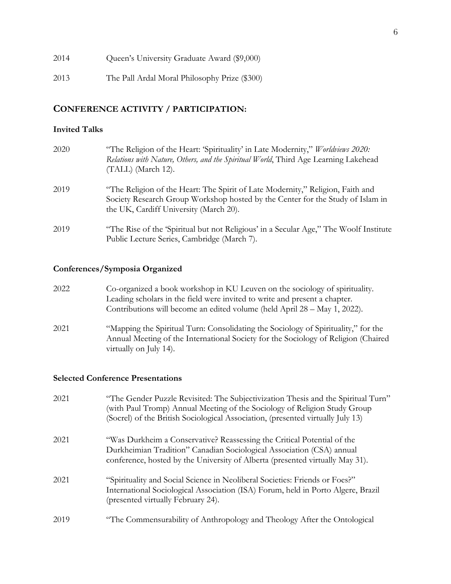2014 Queen's University Graduate Award (\$9,000)

2013 The Pall Ardal Moral Philosophy Prize (\$300)

#### **CONFERENCE ACTIVITY / PARTICIPATION:**

#### **Invited Talks**

| 2020 | "The Religion of the Heart: 'Spirituality' in Late Modernity," <i>Worldviews 2020</i> :<br>Relations with Nature, Others, and the Spiritual World, Third Age Learning Lakehead<br>$(TALL)$ (March 12).     |
|------|------------------------------------------------------------------------------------------------------------------------------------------------------------------------------------------------------------|
| 2019 | "The Religion of the Heart: The Spirit of Late Modernity," Religion, Faith and<br>Society Research Group Workshop hosted by the Center for the Study of Islam in<br>the UK, Cardiff University (March 20). |
| 2019 | "The Rise of the 'Spiritual but not Religious' in a Secular Age," The Woolf Institute<br>Public Lecture Series, Cambridge (March 7).                                                                       |

#### **Conferences/Symposia Organized**

- 2022 Co-organized a book workshop in KU Leuven on the sociology of spirituality. Leading scholars in the field were invited to write and present a chapter. Contributions will become an edited volume (held April 28 – May 1, 2022).
- 2021 "Mapping the Spiritual Turn: Consolidating the Sociology of Spirituality," for the Annual Meeting of the International Society for the Sociology of Religion (Chaired virtually on July 14).

#### **Selected Conference Presentations**

| 2021 | "The Gender Puzzle Revisited: The Subjectivization Thesis and the Spiritual Turn"<br>(with Paul Tromp) Annual Meeting of the Sociology of Religion Study Group<br>(Socrel) of the British Sociological Association, (presented virtually July 13) |
|------|---------------------------------------------------------------------------------------------------------------------------------------------------------------------------------------------------------------------------------------------------|
| 2021 | "Was Durkheim a Conservative? Reassessing the Critical Potential of the<br>Durkheimian Tradition" Canadian Sociological Association (CSA) annual<br>conference, hosted by the University of Alberta (presented virtually May 31).                 |
| 2021 | "Spirituality and Social Science in Neoliberal Societies: Friends or Foes?"<br>International Sociological Association (ISA) Forum, held in Porto Algere, Brazil<br>(presented virtually February 24).                                             |
| 2019 | "The Commensurability of Anthropology and Theology After the Ontological                                                                                                                                                                          |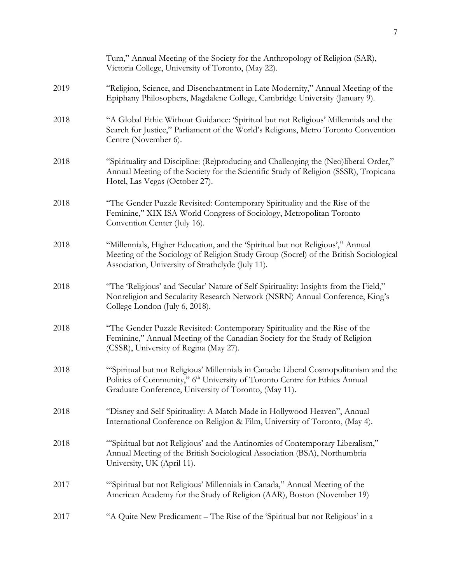|      | Turn," Annual Meeting of the Society for the Anthropology of Religion (SAR),<br>Victoria College, University of Toronto, (May 22).                                                                                                      |
|------|-----------------------------------------------------------------------------------------------------------------------------------------------------------------------------------------------------------------------------------------|
| 2019 | "Religion, Science, and Disenchantment in Late Modernity," Annual Meeting of the<br>Epiphany Philosophers, Magdalene College, Cambridge University (January 9).                                                                         |
| 2018 | "A Global Ethic Without Guidance: 'Spiritual but not Religious' Millennials and the<br>Search for Justice," Parliament of the World's Religions, Metro Toronto Convention<br>Centre (November 6).                                       |
| 2018 | "Spirituality and Discipline: (Re)producing and Challenging the (Neo)liberal Order,"<br>Annual Meeting of the Society for the Scientific Study of Religion (SSSR), Tropicana<br>Hotel, Las Vegas (October 27).                          |
| 2018 | "The Gender Puzzle Revisited: Contemporary Spirituality and the Rise of the<br>Feminine," XIX ISA World Congress of Sociology, Metropolitan Toronto<br>Convention Center (July 16).                                                     |
| 2018 | "Millennials, Higher Education, and the 'Spiritual but not Religious'," Annual<br>Meeting of the Sociology of Religion Study Group (Socrel) of the British Sociological<br>Association, University of Strathclyde (July 11).            |
| 2018 | "The 'Religious' and 'Secular' Nature of Self-Spirituality: Insights from the Field,"<br>Nonreligion and Secularity Research Network (NSRN) Annual Conference, King's<br>College London (July 6, 2018).                                 |
| 2018 | "The Gender Puzzle Revisited: Contemporary Spirituality and the Rise of the<br>Feminine," Annual Meeting of the Canadian Society for the Study of Religion<br>(CSSR), University of Regina (May 27).                                    |
| 2018 | "Spiritual but not Religious' Millennials in Canada: Liberal Cosmopolitanism and the<br>Politics of Community," 6 <sup>th</sup> University of Toronto Centre for Ethics Annual<br>Graduate Conference, University of Toronto, (May 11). |
| 2018 | "Disney and Self-Spirituality: A Match Made in Hollywood Heaven", Annual<br>International Conference on Religion & Film, University of Toronto, (May 4).                                                                                |
| 2018 | "Spiritual but not Religious' and the Antinomies of Contemporary Liberalism,"<br>Annual Meeting of the British Sociological Association (BSA), Northumbria<br>University, UK (April 11).                                                |
| 2017 | "Spiritual but not Religious' Millennials in Canada," Annual Meeting of the<br>American Academy for the Study of Religion (AAR), Boston (November 19)                                                                                   |
| 2017 | "A Quite New Predicament – The Rise of the 'Spiritual but not Religious' in a                                                                                                                                                           |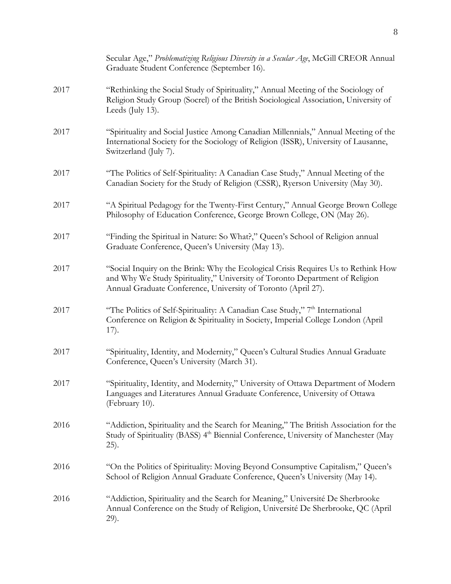|      | Secular Age," Problematizing Religious Diversity in a Secular Age, McGill CREOR Annual<br>Graduate Student Conference (September 16).                                                                                               |
|------|-------------------------------------------------------------------------------------------------------------------------------------------------------------------------------------------------------------------------------------|
| 2017 | "Rethinking the Social Study of Spirituality," Annual Meeting of the Sociology of<br>Religion Study Group (Socrel) of the British Sociological Association, University of<br>Leeds (July 13).                                       |
| 2017 | "Spirituality and Social Justice Among Canadian Millennials," Annual Meeting of the<br>International Society for the Sociology of Religion (ISSR), University of Lausanne,<br>Switzerland (July 7).                                 |
| 2017 | "The Politics of Self-Spirituality: A Canadian Case Study," Annual Meeting of the<br>Canadian Society for the Study of Religion (CSSR), Ryerson University (May 30).                                                                |
| 2017 | "A Spiritual Pedagogy for the Twenty-First Century," Annual George Brown College<br>Philosophy of Education Conference, George Brown College, ON (May 26).                                                                          |
| 2017 | "Finding the Spiritual in Nature: So What?," Queen's School of Religion annual<br>Graduate Conference, Queen's University (May 13).                                                                                                 |
| 2017 | "Social Inquiry on the Brink: Why the Ecological Crisis Requires Us to Rethink How<br>and Why We Study Spirituality," University of Toronto Department of Religion<br>Annual Graduate Conference, University of Toronto (April 27). |
| 2017 | "The Politics of Self-Spirituality: A Canadian Case Study," 7th International<br>Conference on Religion & Spirituality in Society, Imperial College London (April<br>17).                                                           |
| 2017 | "Spirituality, Identity, and Modernity," Queen's Cultural Studies Annual Graduate<br>Conference, Queen's University (March 31).                                                                                                     |
| 2017 | "Spirituality, Identity, and Modernity," University of Ottawa Department of Modern<br>Languages and Literatures Annual Graduate Conference, University of Ottawa<br>(February 10).                                                  |
| 2016 | "Addiction, Spirituality and the Search for Meaning," The British Association for the<br>Study of Spirituality (BASS) 4 <sup>th</sup> Biennial Conference, University of Manchester (May<br>(25).                                   |
| 2016 | "On the Politics of Spirituality: Moving Beyond Consumptive Capitalism," Queen's<br>School of Religion Annual Graduate Conference, Queen's University (May 14).                                                                     |
| 2016 | "Addiction, Spirituality and the Search for Meaning," Université De Sherbrooke<br>Annual Conference on the Study of Religion, Université De Sherbrooke, QC (April<br>29).                                                           |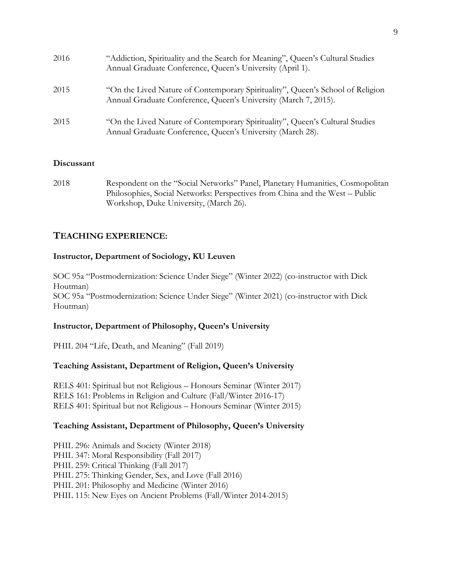| 2016 | "Addiction, Spirituality and the Search for Meaning", Queen's Cultural Studies<br>Annual Graduate Conference, Queen's University (April 1).       |
|------|---------------------------------------------------------------------------------------------------------------------------------------------------|
| 2015 | "On the Lived Nature of Contemporary Spirituality", Queen's School of Religion<br>Annual Graduate Conference, Queen's University (March 7, 2015). |
| 2015 | "On the Lived Nature of Contemporary Spirituality", Queen's Cultural Studies<br>Annual Graduate Conference, Queen's University (March 28).        |

#### **Discussant**

2018 Respondent on the "Social Networks" Panel, Planetary Humanities, Cosmopolitan Philosophies, Social Networks: Perspectives from China and the West – Public Workshop, Duke University, (March 26).

## **TEACHING EXPERIENCE:**

#### **Instructor, Department of Sociology, KU Leuven**

SOC 95a "Postmodernization: Science Under Siege" (Winter 2022) (co-instructor with Dick Houtman) SOC 95a "Postmodernization: Science Under Siege" (Winter 2021) (co-instructor with Dick Houtman)

#### **Instructor, Department of Philosophy, Queen's University**

PHIL 204 "Life, Death, and Meaning" (Fall 2019)

#### **Teaching Assistant, Department of Religion, Queen's University**

RELS 401: Spiritual but not Religious – Honours Seminar (Winter 2017) RELS 161: Problems in Religion and Culture (Fall/Winter 2016-17) RELS 401: Spiritual but not Religious – Honours Seminar (Winter 2015)

#### **Teaching Assistant, Department of Philosophy, Queen's University**

PHIL 296: Animals and Society (Winter 2018) PHIL 347: Moral Responsibility (Fall 2017) PHIL 259: Critical Thinking (Fall 2017) PHIL 275: Thinking Gender, Sex, and Love (Fall 2016) PHIL 201: Philosophy and Medicine (Winter 2016) PHIL 115: New Eyes on Ancient Problems (Fall/Winter 2014-2015)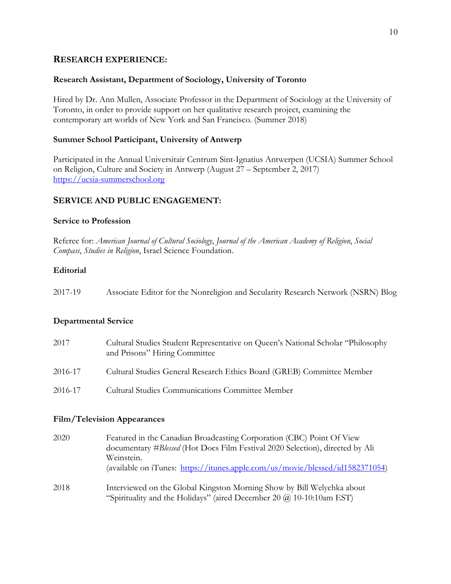#### **RESEARCH EXPERIENCE:**

#### **Research Assistant, Department of Sociology, University of Toronto**

Hired by Dr. Ann Mullen, Associate Professor in the Department of Sociology at the University of Toronto, in order to provide support on her qualitative research project, examining the contemporary art worlds of New York and San Francisco. (Summer 2018)

#### **Summer School Participant, University of Antwerp**

Participated in the Annual Universitair Centrum Sint-Ignatius Antwerpen (UCSIA) Summer School on Religion, Culture and Society in Antwerp (August 27 – September 2, 2017) https://ucsia-summerschool.org

#### **SERVICE AND PUBLIC ENGAGEMENT:**

#### **Service to Profession**

Referee for: *American Journal of Cultural Sociology*, *Journal of the American Academy of Religion*, *Social Compass*, *Studies in Religion*, Israel Science Foundation.

#### **Editorial**

| 2017-19 |  | Associate Editor for the Nonreligion and Secularity Research Network (NSRN) Blog |
|---------|--|----------------------------------------------------------------------------------|
|         |  |                                                                                  |

#### **Departmental Service**

| 2017    | Cultural Studies Student Representative on Queen's National Scholar "Philosophy"<br>and Prisons" Hiring Committee |
|---------|-------------------------------------------------------------------------------------------------------------------|
| 2016-17 | Cultural Studies General Research Ethics Board (GREB) Committee Member                                            |
| 2016-17 | <b>Cultural Studies Communications Committee Member</b>                                                           |

#### **Film/Television Appearances**

| 2020 | Featured in the Canadian Broadcasting Corporation (CBC) Point Of View         |
|------|-------------------------------------------------------------------------------|
|      | documentary #Blessed (Hot Docs Film Festival 2020 Selection), directed by Ali |
|      | Weinstein.                                                                    |
|      | (available on iTunes: https://itunes.apple.com/us/movie/blessed/id1582371054) |
| 2018 | Interviewed on the Global Kingston Morning Show by Bill Welychka about        |
|      | "Spirituality and the Holidays" (aired December 20 $(a)$ 10-10:10am EST)      |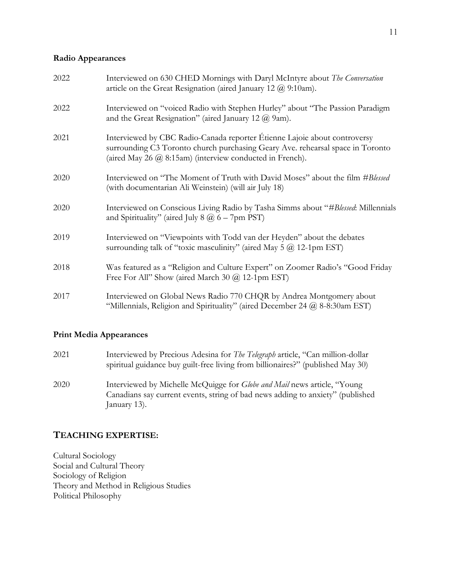#### **Radio Appearances**

| 2022 | Interviewed on 630 CHED Mornings with Daryl McIntyre about The Conversation<br>article on the Great Resignation (aired January 12 $@$ 9:10am).                                                                              |
|------|-----------------------------------------------------------------------------------------------------------------------------------------------------------------------------------------------------------------------------|
| 2022 | Interviewed on "voiced Radio with Stephen Hurley" about "The Passion Paradigm<br>and the Great Resignation" (aired January 12 $(\overline{a})$ 9am).                                                                        |
| 2021 | Interviewed by CBC Radio-Canada reporter Étienne Lajoie about controversy<br>surrounding C3 Toronto church purchasing Geary Ave. rehearsal space in Toronto<br>(aired May 26 $(a)$ 8:15am) (interview conducted in French). |
| 2020 | Interviewed on "The Moment of Truth with David Moses" about the film #Blessed<br>(with documentarian Ali Weinstein) (will air July 18)                                                                                      |
| 2020 | Interviewed on Conscious Living Radio by Tasha Simms about "#Blessed: Millennials<br>and Spirituality" (aired July 8 $@$ 6 – 7pm PST)                                                                                       |
| 2019 | Interviewed on "Viewpoints with Todd van der Heyden" about the debates<br>surrounding talk of "toxic masculinity" (aired May 5 $\omega$ 12-1pm EST)                                                                         |
| 2018 | Was featured as a "Religion and Culture Expert" on Zoomer Radio's "Good Friday<br>Free For All" Show (aired March 30 $@$ 12-1pm EST)                                                                                        |
| 2017 | Interviewed on Global News Radio 770 CHQR by Andrea Montgomery about<br>"Millennials, Religion and Spirituality" (aired December 24 $@$ 8-8:30am EST)                                                                       |

#### **Print Media Appearances**

2021 Interviewed by Precious Adesina for *The Telegraph* article, "Can million-dollar spiritual guidance buy guilt-free living from billionaires?" (published May 30) 2020 Interviewed by Michelle McQuigge for *Globe and Mail* news article, "Young Canadians say current events, string of bad news adding to anxiety" (published January 13).

## **TEACHING EXPERTISE:**

Cultural Sociology Social and Cultural Theory Sociology of Religion Theory and Method in Religious Studies Political Philosophy